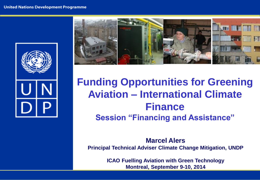



## **Funding Opportunities for Greening Aviation – International Climate Finance Session "Financing and Assistance"**

**Marcel Alers Principal Technical Adviser Climate Change Mitigation, UNDP**

> **ICAO Fuelling Aviation with Green Technology Montreal, September 9-10, 2014**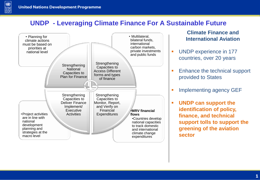$\frac{1}{\frac{1}{\sqrt{2}}}\sum_{n=1}^{\infty}$ 

#### **UNDP - Leveraging Climate Finance For A Sustainable Future**



**Climate Finance and International Aviation**

- **UNDP** experience in 177 countries, over 20 years
- **Enhance the technical support** provided to States
- **Implementing agency GEF**
- **UNDP can support the identification of policy, finance, and technical support tolls to support the greening of the aviation sector**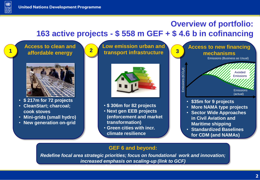

### **Overview of portfolio: 163 active projects - \$ 558 m GEF + \$ 4.6 b in cofinancing**

#### **Access to clean and affordable energy 1**



- **\$ 217m for 72 projects**
- **CleanStart; charcoal; cook stoves**
- **Mini-grids (small hydro)**
- **New generation on-grid**

**Low emission urban and transport infrastructure 2**



- **\$ 306m for 82 projects**
- **Next gen EEB projects (enforcement and market transformation)**
- **Green cities with incr. climate resilience**



- **in Civil Aviation and Maritime shipping**
- **Standardized Baselines for CDM (and NAMAs)**

#### **GEF 6 and beyond:**

*Redefine focal area strategic priorities; focus on foundational work and innovation; increased emphasis on scaling-up (link to GCF)*

*market transformation; public-private partnerships*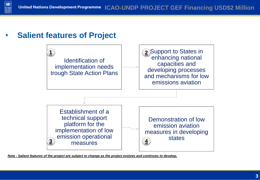





*Note - Salient features of the project are subject to change as the project evolves and continues to develop.*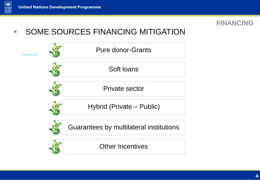



**SOME SOURCES FINANCING MITIGATION** 

| <b>Pure donor-Grants</b>                |
|-----------------------------------------|
| Soft loans                              |
| Private sector                          |
| Hybrid (Private – Public)               |
| Guarantees by multilateral institutions |
| <b>Other Incentives</b>                 |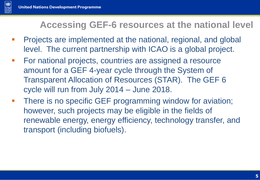

### **Accessing GEF-6 resources at the national level**

- **Projects are implemented at the national, regional, and global** level. The current partnership with ICAO is a global project.
- **For national projects, countries are assigned a resource** amount for a GEF 4-year cycle through the System of Transparent Allocation of Resources (STAR). The GEF 6 cycle will run from July 2014 – June 2018.
- **There is no specific GEF programming window for aviation;** however, such projects may be eligible in the fields of renewable energy, energy efficiency, technology transfer, and transport (including biofuels).